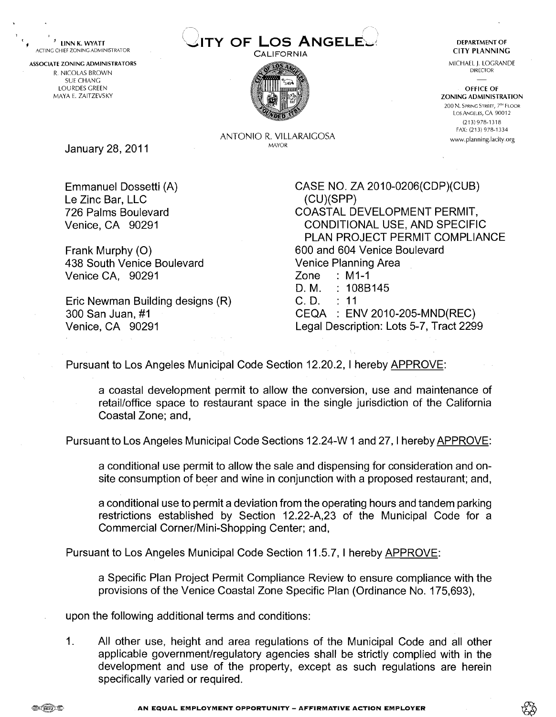**Princ Chief ZONING ADMINISTRATOR ANGELE ARRIVER AT ACTING CHIEF ZONING ADMINISTRATOR ANGELE ANGELE ANGELE ANGELE ANGELE ANGELE ANGELE ANGELE ANGELE ANGELE ANGELE ANGELE ANGELE ANGELE ANGELE ANGELE ANGELE ANGELE ANGELE ANG** 



MICHAEL J. LOGRANDE DIRECTOR -

OFFICE OF ZONING ADMINISTRATION 200 N. SPRING STREET, 7<sup>TH</sup> FLOOR Los Angeles, CA 90012 (2131 978-1318 FAX: (213) 978-1334 ww.planning.lacity.org

ANTONIO R. VILLARAIGOSA MAYOR

January 28, 2011

ASSOCIATE ZONING ADMINISTRATORS R. NICOLAS BROWN SUE CHANG LOURDES GREEN MAYA E. ZAITZEVSKY

**1 c** 

> Emmanuel Dossetti (A) Le Zinc Bar, LLC 726 Palms Boulevard Venice, CA 90291

Frank Murphy (0) 438 South Venice Boulevard Venice CA, 90291

Eric Newman Building designs (R) 300 San Juan, #I Venice, CA 90291

CASE NO. ZA 20 10-0206(CDP)(CUB) (CU)(SPP) COASTAL DEVELOPMENT PERMIT. CONDITIONAL USE, AND SPECIFIC PLAN PROJECT PERMIT COMPLIANCE 600 and 604 Venice Boulevard Venice Planning Area Zone : MI-I D. M. : 108B145 C.D. : 11

CEQA : ENV 2010-205-MND(REC) Legal Description: Lots 5-7, Tract 2299

Pursuant to Los Angeles Municipal Code Section 12.20.2, 1 hereby APPROVE:

a coastal development permit to allow the conversion, use and maintenance of retailloffice space to restaurant space in the single jurisdiction of the California Coastal Zone; and,

Pursuant to Los Angeles Municipal Code Sections 12.24-W 1 and 27, 1 hereby APPROVE:

a conditional use permit to allow the sale and dispensing for consideration and onsite consumption of beer and wine in conjunction with a proposed restaurant; and,

a conditional use to permit a deviation from the operating hours and tandem parking restrictions established by Section 12.22-A,23 of the Municipal Code for a Commercial Corner/Mini-Shopping Center; and,

Pursuant to Los Angeles Municipal Code Section 11.5.7, 1 hereby APPROVE:

a Specific Plan Project Permit Compliance Review to ensure compliance with the provisions of the Venice Coastal Zone Specific Plan (Ordinance No. 175,693),

upon the following additional terms and conditions:

1. All other use, height and area regulations of the Municipal Code and all other applicable government/regulatory agencies shall be strictly complied with in the development and use of the property, except as such regulations are herein specifically varied or required.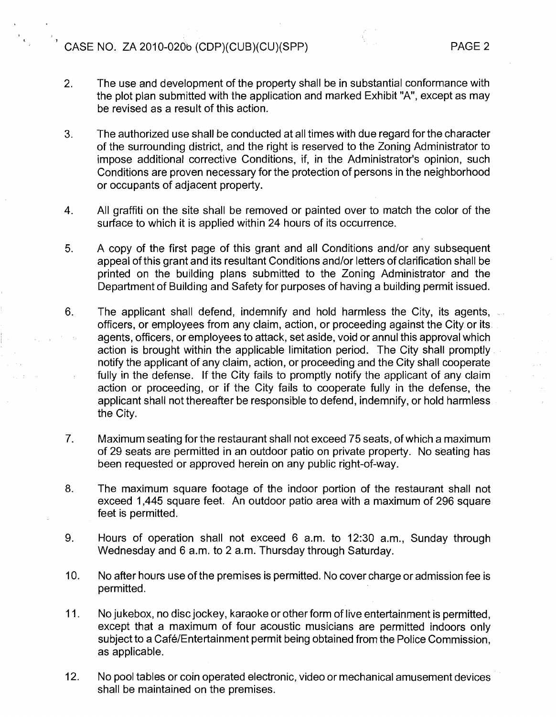# $\overrightarrow{C}$  CASE NO. ZA 2010-020b (CDP)(CUB)(CU)(SPP) PAGE 2

- $2.$ The use and development of the property shall be in substantial conformance with the plot plan submitted with the application and marked Exhibit "A", except as may be revised as a result of this action.
- $3.$ The authorized use shall be conducted at all times with due regard for the character of the surrounding district, and the right is reserved to the Zoning Administrator to impose additional corrective Conditions, if, in the Administrator's opinion, such Conditions are proven necessary for the protection of persons in the neighborhood or occupants of adjacent property.
- $4.$ All graffiti on the site shall be removed or painted over to match the color of the surface to which it is applied within 24 hours of its occurrence.
- 5. A copy of the first pqge of this grant and all Conditions and/or any subsequent appeal of this grant and its resultant Conditions and/or letters of clarification shall be printed on the building plans submitted to the Zoning Administrator and the Department of Building and Safety for purposes of having a building permit issued.
- 6. The applicant shall defend, indemnify and hold harmless the City, its agents, officers, or employees from any claim, action, or proceeding against the City or its agents, officers, or employees to attack, set aside, void or annul this approval which action is brought within the applicable limitation period. The City shall promptly notify the applicant of any claim, action, or proceeding and the City shall cooperate fully in the defense. If the City fails to promptly notify the applicant of any claim action or proceeding, or if the City fails to cooperate fully in the defense, the applicant shall not thereafter be responsible to defend, indemnify, or hold harmless the City.
- 7. Maximum seating for the restaurant shall not exceed 75 seats, of which a maximum of 29 seats are permitted in an outdoor patio on private property. No seating has been requested or approved herein on any public right-of-way.
- 8. The maximum square footage of the indoor portion of the restaurant shall not exceed 1,445 square feet. An outdoor patio area with a maximum of 296 square feet is permitted.
- 9. Hours of operation shall not exceed 6 a.m. to 12:30 a.m., Sunday through Wednesday and 6 a.m. to 2 a.m. Thursday through Saturday.
- $10.$ No after hours use of the premises is permitted. No cover charge or admission fee is permitted.
- $11.$ No jukebox, no disc jockey, karaoke or other form of live entertainment is permitted, except that a maximum of four acoustic musicians are permitted indoors only subject to a Café/Entertainment permit being obtained from the Police Commission, as applicable.
- $12.$ No pool tables or coin operated electronic, video or mechanical amusement devices shall be maintained on the premises.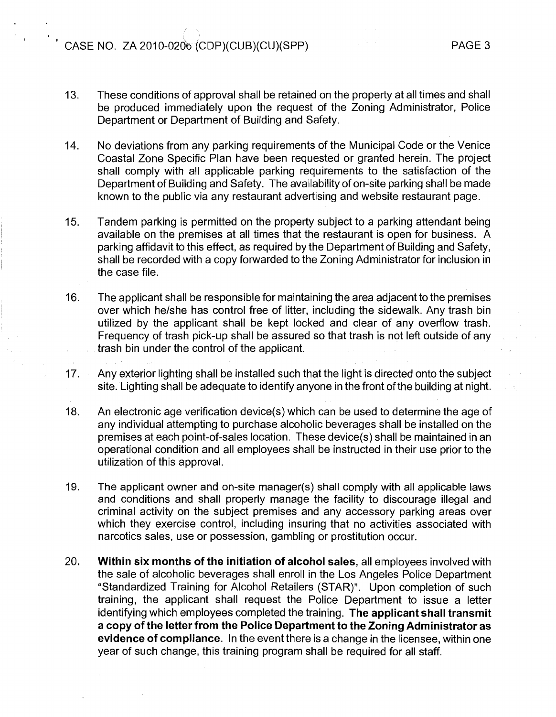# $\overline{C}$  CASE NO. ZA 2010-020b (CDP)(CUB)(CU)(SPP)

I

- 13. These conditions of approval shall be retained on the property at all times and shall be produced immediately upon the request of the Zoning Administrator, Police Department or Department of Building and Safety.
- 14. No deviations from any parking requirements of the Municipal Code or the Venice Coastal Zone Specific Plan have been requested or granted herein. The project shall comply with all applicable parking requirements to the satisfaction of the Department of Building and Safety. The availability of on-site parking shall be made known to the public via any restaurant advertising and website restaurant page.
- 15. Tandem parking is permitted on the property subject to a parking attendant being available on the premises at all times that the restaurant is open for business. A parking affidavit to this effect, as required by the Department of Building and Safety, shall be recorded with a copy forwarded to the Zoning Administrator for inclusion in the case file.
- 16. The applicant shall be responsible for maintaining the area adjacent to the premises over which he/she has control free of litter, including the sidewalk. Any trash bin utilized by the applicant shall be kept locked and clear of any overflow trash. Frequency of trash pick-up shall be assured so that trash is not left outside of any trash bin under the control of the applicant.
- 17. Any exterior lighting shall be installed such that the light is directed onto the subject site. Lighting shall be adequate to identify anyone in the front of the building at night.
- 18. An electronic age verification device(s) which can be used to determine the age of any individual attempting to purchase alcoholic beverages shall be installed on the premises at each point-of-sales location. These device(s) shall be maintained in an operational condition and all employees shall be instructed in their use prior to the utilization of this approval.
- 19. The applicant owner and on-site manager(s) shall comply with all applicable laws and conditions and shall properly manage the facility to discourage illegal and criminal activity on the subject premises and any accessory parking areas over which they exercise control, including insuring that no activities associated with narcotics sales, use or possession, gambling or prostitution occur.
- 20. **Within six months of the initiation of alcohol sales, all employees involved with** the sale of alcoholic beverages shall enroll in the Los Angeles Police Department "Standardized Training for Alcohol Retailers (STAR)". Upon completion of such training, the applicant shall request the Police Department to issue a letter identifying which employees completed the training. **The applicant shall transmit a copy of the letter from the Police Department to the Zoning Administrator as evidence of compliance.** In the event there is a change in the licensee, within one year of such change, this training program shall be required for all staff.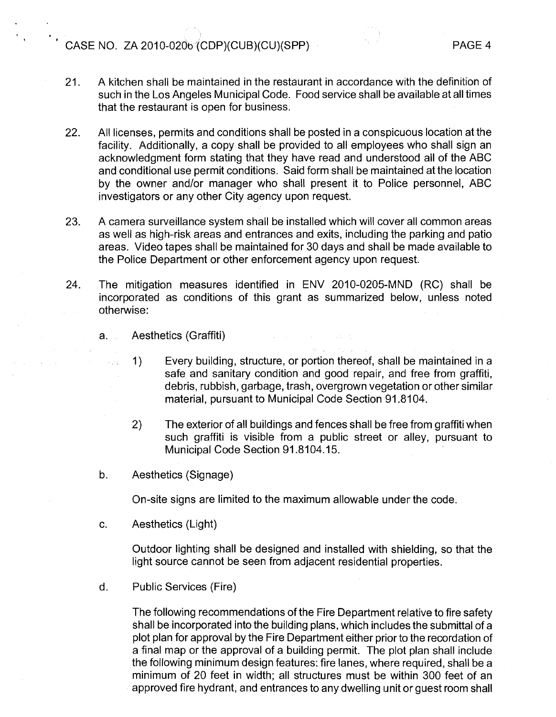CASE NO. ZA 2010-020b (CDP)(CUB)(CU)(SPP) PAGE 4

- 21. A kitchen shall be maintained in the restaurant in accordance with the definition of such in the Los Angeles Municipal Code. Food service shall be available at all times that the restaurant is open for business.
- 22. All licenses, permits and conditions shall be posted in a conspicuous location at the facility. Additionally, a copy shall be provided to all employees who shall sign an acknowledgment form stating that they have read and understood all of the ABC and conditional use permit conditions. Said form shall be maintained at the location by the owner and/or manager who shall present it to Police personnel, ABC investigators or any other City agency upon request.
- 23. A camera surveillance system shall be installed which will cover all common areas as well as high-risk areas and entrances and exits, including the parking and patio areas. Video tapes shall be maintained for 30 days and shall be made available to the Police Department or other enforcement agency upon request.
- 24. The mitigation measures identified in ENV 2010-0205-MND (RC) shall be incorporated as conditions of this grant as summarized below, unless noted otherwise:

 $\mathcal{L}^{\mathcal{L}}(\mathcal{L}^{\mathcal{L}})$  . The contribution of the contribution

a. Aesthetics (Graffiti)

**Carl Carl** 

 $\label{eq:2.1} \frac{1}{2} \left( \left( \frac{1}{2} \right)^2 - \left( \frac{1}{2} \right)^2 \right) \left( \frac{1}{2} \right)^2 \left( \frac{1}{2} \right)^2.$ 

- 1) Every building, structure, or portion thereof, shall be maintained in a safe and sanitary condition and good repair, and free from graffiti, debris, rubbish, garbage, trash, overgrown vegetation or other similar material, pursuant to Municipal Code Section 91.8104.
- 2) The exterior of all buildings and fences shall be free from graffiti when such graffiti is visible from a public street or alley, pursuant to Municipal Code Section 91.8104.15.
- b. Aesthetics (Signage)

On-site signs are limited to the maximum allowable under the code.

c. Aesthetics (Light)

Outdoor lighting shall be designed and installed with shielding, so that the light source cannot be seen from adjacent residential properties.

d. Public Services (Fire)

The following recommendations of the Fire Department relative to fire safety shall be incorporated into the building plans, which includes the submittal of a plot plan for approval by the Fire Department either prior to the recordation of a final map or the approval of a building permit. The plot plan shall include the following minimum design features: fire lanes, where required, shall be a minimum of 20 feet in width; all structures must be within 300 feet of an approved fire hydrant, and entrances to any dwelling unit or guest room shall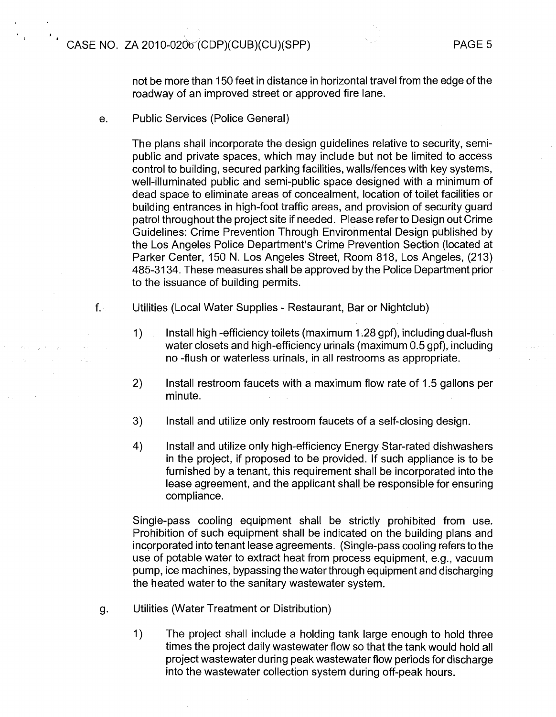not be more than 150 feet in distance in horizontal travel from the edge of the roadway of an improved street or approved fire lane.

e. Public Services (Police General)

The plans shall incorporate the design guidelines relative to security, semipublic and private spaces, which may include but not be limited to access control to building, secured parking facilities, wallslfences with key systems, well-illuminated public and semi-public space designed with a minimum of dead space to eliminate areas of concealment, location of toilet facilities or building entrances in high-foot traffic areas, and provision of security guard patrol throughout the project site if needed. Please refer to Design out Crime Guidelines: Crime Prevention Through Environmental Design published by the Los Angeles Police Department's Crime Prevention Section (located at Parker Center, 150 N. Los Angeles Street, Room 818, Los Angeles, (213) 485-31 34. These measures shall be approved by the Police Department prior to the issuance of building permits.

- f. Utilities (Local Water Supplies Restaurant, Bar or Nightclub)
	- 1) Install high -efficiency toilets (maximum 1.28 gpf), including dual-flush water closets and high-efficiency urinals (maximum 0.5 gpf), including no -flush or waterless urinals, in all restrooms as appropriate.
	- 2) Install restroom faucets with a maximum flow rate of 1.5 gallons per minute.
	- 3) Install and utilize only restroom faucets of a self-closing design.
	- 4) Install and utilize only high-efficiency Energy Star-rated dishwashers in the project, if proposed to be provided. If such appliance is to be furnished by a tenant, this requirement shall be incorporated into the lease agreement, and the applicant shall be responsible for ensuring compliance.

Single-pass cooling equipment shall be strictly prohibited from use. Prohibition of such equipment shall be indicated on the building plans and incorporated into tenant lease agreements. (Single-pass cooling refers to the use of potable water to extract heat from process equipment, e.g., vacuum pump, ice machines, bypassing the water through equipment and discharging the heated water to the sanitary wastewater system.

- g. Utilities (Water Treatment or Distribution)
	- 1) The project shall include a holding tank large enough to hold three times the project daily wastewater flow so that the tank would hold all project wastewater during peak wastewater flow periods for discharge into the wastewater collection system during off-peak hours.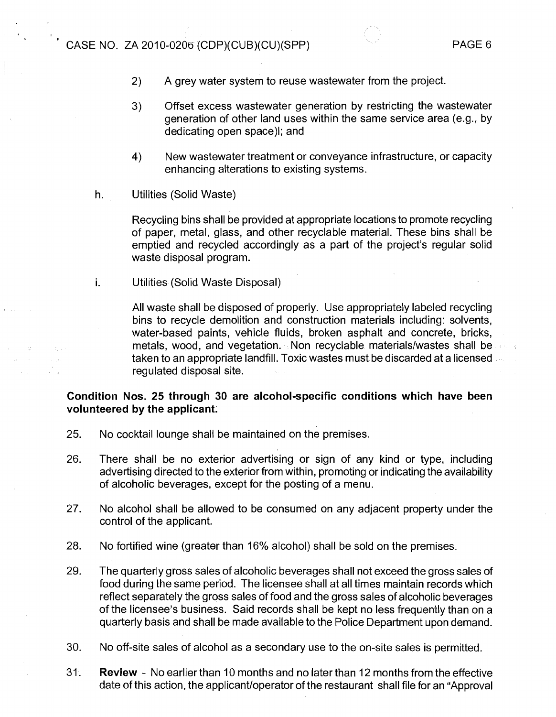- 2) A grey water system to reuse wastewater from the project.
- 3) Offset excess wastewater generation by restricting the wastewater generation of other land uses within the same service area (e.g., by dedicating open space)l; and
- 4) New wastewater treatment or conveyance infrastructure, or capacity enhancing alterations to existing systems.
- h. Utilities (Solid Waste)

Recycling bins shall be provided at appropriate locations to promote recycling of paper, metal, glass, and other recyclable material. These bins shall be emptied and recycled accordingly as a part of the project's regular solid waste disposal program.

i. Utilities (Solid Waste Disposal)

All waste shall be disposed of properly. Use appropriately labeled recycling bins to recycle demolition and construction materials including: solvents, water-based paints, vehicle fluids, broken asphalt and concrete, bricks, metals, wood, and vegetation. Non recyclable materialslwastes shall be taken to an appropriate landfill. Toxic wastes must be discarded at a licensed regulated disposal site.

# Condition Nos. 25 through 30 are alcohol-specific conditions which have been **volunteered by the applicant;**

- 25. No cocktail lounge shall be maintained on the premises.
- 26. There shall be no exterior advertising or sign of any kind or type, including advertising directed to the exterior from within, promoting or indicating the availability of alcoholic beverages, except for the posting of a menu.
- 27. No alcohol shall be allowed to be consumed on any adjacent property under the control of the applicant.
- 28. No fortified wine (greater than 16% alcohol) shall be sold on the premises.
- 29. The quarterly gross sales of alcoholic beverages shall not exceed the gross sales of food during the same period. The licensee shall at all times maintain records which reflect separately the gross sales of food and the gross sales of alcoholic beverages of the licensee's business. Said records shall be kept no less frequently than on a quarterly basis and shall be made available to the Police Department upon demand.
- 30. No off-site sales of alcohol as a secondary use to the on-site sales is permitted
- 31. **Review**  No earlier than 10 months and no later than 12 months from the effective date of this action, the applicant/operator of the restaurant shall file for an "Approval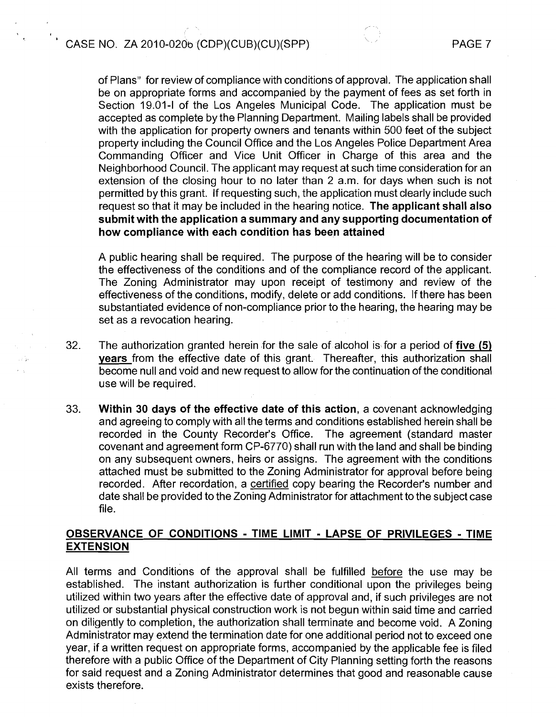,

of Plans" for review of compliance with conditions of approval. The application shall be on appropriate forms and accompanied by the payment of fees as set forth in Section 19.01-1 of the Los Angeles Municipal Code. The application must be accepted as complete by the Planning Department. Mailing labels shall be provided with the application for property owners and tenants within 500 feet of the subject property including the Council Office and the Los Angeles Police Department Area Commanding Officer and Vice Unit Officer in Charge of this area and the Neighborhood Council. The applicant may request at such time consideration for an extension of the closing hour to no later than 2 a.m. for days when such is not permitted by this grant. If requesting such, the application must clearly include such request so that it may be included in the hearing notice. **The applicant shall also submit with the application a summary and any supporting documentation of how compliance with each condition has been attained** 

A public hearing shall be required. The purpose of the hearing will be to consider the effectiveness of the conditions and of the compliance record of the applicant. The Zoning Administrator may upon receipt of testimony and review of the effectiveness of the conditions, modify, delete or add conditions. If there has been substantiated evidence of non-compliance prior to the hearing, the hearing may be set as a revocation hearing.

- 32. The authorization granted herein for the sale of alcohol is for a period of **five (5) years** from the effective date of this grant. Thereafter, this authorization shall become null and void and new request to allow for the continuation of the conditional use will be required.
- 33. **Within 30 days of the effective date of this action,** a covenant acknowledging and agreeing to comply with all the terms and conditions established herein shall be recorded in the County Recorder's Office. The agreement (standard master covenant and agreement form CP-6770) shall run with the land and shall be binding on any subsequent owners, heirs or assigns. The agreement with the conditions attached must be submitted to the Zoning Administrator for approval before being recorded. After recordation, a certified copy bearing the Recorder's number and date shall be provided to the Zoning Administrator for attachment to the subject case file.

# **OBSERVANCE OF CONDITIONS** - **TlME LIMIT** - **LAPSE OF PRIVILEGES** - **TlME EXTENSION**

All terms and Conditions of the approval shall be fulfilled before the use may be established. The instant authorization is further conditional upon the privileges being utilized within two years after the effective date of approval and, if such privileges are not utilized or substantial physical construction work is not begun within said time and carried on diligently to completion, the authorization shall terminate and become void. A Zoning Administrator may extend the termination date for one additional period not to exceed one year, if a written request on appropriate forms, accompanied by the applicable fee is filed therefore with a public Office of the Department of City Planning setting forth the reasons for said request and a Zoning Administrator determines that good and reasonable cause exists therefore.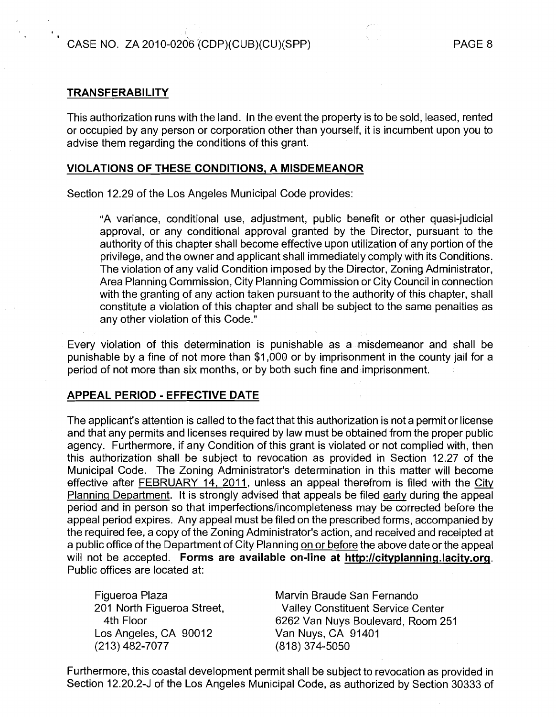# **TRANSFERABII-ITY**

**I** 

This authorization runs with the land. In the event the property is to be sold, leased, rented or occupied by any person or corporation other than yourself, it is incumbent upon you to advise them regarding the conditions of this grant.

# **VIOLATIONS OF THESE CONDITIONS, A MISDEMEANOR**

Section 12.29 of the Los Angeles Municipal Code provides:

"A variance, conditional use, adjustment, public benefit or other quasi-judicial approval, or any conditional approval granted by the Director, pursuant to the authority of this chapter shall become effective upon utilization of any portion of the privilege, and the owner and applicant shall immediately comply with its Conditions. The violation of any valid Condition imposed by the Director, Zoning Administrator, Area Planning Commission, City Planning Commission or City Council in connection with the granting of any action taken pursuant to the authority of this chapter, shall constitute a violation of this chapter and shall be subject to the same penalties as any other violation of this Code."

Every violation of this determination is punishable as a misdemeanor and shall be punishable by a fine of not more than \$1,000 or by imprisonment in the county jail for a period of not more than six months, or by both such fine and imprisonment.

# **APPEAL PERIOD** - **EFFECTIVE DATE**

The applicant's attention is called to the fact that this authorization is not a permit or license and that any permits and licenses required by law must be obtained from the proper public agency. Furthermore, if any Condition of this grant is violated or not complied with, then this authorization shall be subject to revocation as provided in Section 12.27 of the Municipal Code. The Zoning Administrator's determination in this matter will become effective after FEBRUARY  $14$ , 2011, unless an appeal therefrom is filed with the City Planning Department. It is strongly advised that appeals be filed early during the appeal period and in person so that imperfections/incompleteness may be corrected before the appeal period expires. Any appeal must be filed on the prescribed forms, accompanied by the required fee, a copy of the Zoning Administrator's action, and received and receipted at a public office of the Department of City Planning on or before the above date or the appeal will not be accepted. Forms are available on-line at http://cityplanning.lacity.org. Public offices are located at:

Los Angeles, CA 90012  $(213)$  482-7077 (818) 374-5050

Figueroa Plaza Marvin Braude San Fernando<br>1991 North Figueroa Street, Malley Constituent Service C Valley Constituent Service Center 4th Floor 6262 Van Nuys Boulevard, Room 251<br>
So Angeles, CA 90012 Van Nuys, CA 91401

Furthermore, this coastal development permit shall be subject to revocation as provided in Section 12.20.2-J of the Los Angeles Municipal Code, as authorized by Section 30333 of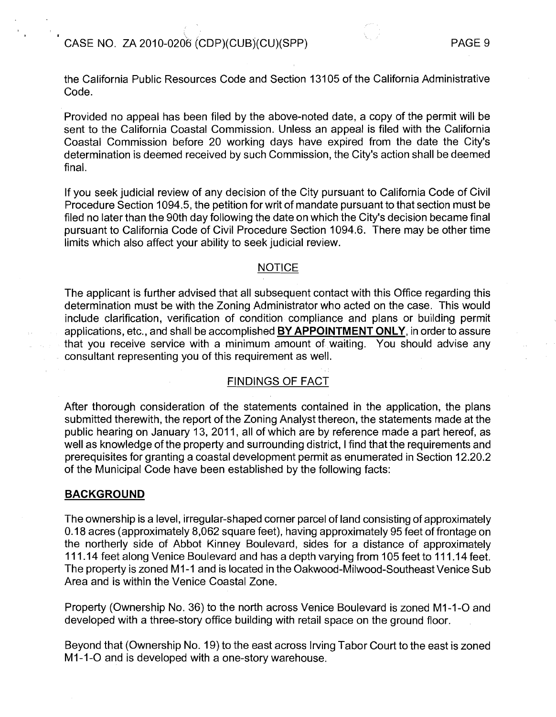

the California Public Resources Code and Section 131 05 of the California Administrative Code.

Provided no appeal has been filed by the above-noted date, a copy of the permit will be sent to the California Coastal Commission. Unless an appeal is filed with the California Coastal Commission before 20 working days have expired from the date the City's determination is deemed received by such Commission, the City's action shall be deemed final.

If you seek judicial review of any decision of the City pursuant to California Code of Civil Procedure Section 1094.5, the petition for writ of mandate pursuant to that section must be filed no later than the 90th day following the date on which the City's decision became final pursuant to California Code of Civil Procedure Section 1094.6. There may be other time limits which also affect your ability to seek judicial review.

# **NOTICE**

The applicant is further advised that all subsequent contact with this Office regarding this determination must be with the Zoning Administrator who acted on the case. This would include clarification, verification of condition compliance and plans or building permit applications, etc., and shall be accomplished **BY APPOINTMENT ONLY,** in order to assure that you receive service with a minimum amount of waiting. You should advise any consultant representing you of this requirement as well.

## FINDINGS OF FACT

After thorough consideration of the statements contained in the application, the plans submitted therewith, the report of the Zoning Analyst thereon, the statements made at the public hearing on January 13, 2011, all of which are by reference made a part hereof, as well as knowledge of the property and surrounding district, I find that the requirements and prerequisites for granting a coastal development perrrlit as enumerated in Section 12.20.2 of the Municipal Code have been established by the following facts:

## **BACKGROUND**

The ownership is a level, irregular-shaped corner parcel of land consisting of approximately 0.18 acres (approximately 8,062 square feet), having approximately 95 feet of frontage on the northerly side of Abbot Kinney Boulevard, sides for a distance of approximately<br>111.14 feet along Venice Boulevard and has a depth varying from 105 feet to 111.14 feet. The property is zoned MI-I and is located in the Oakwood-Milwood-Southeast Venice Sub Area and is within the Venice Coastal Zone.

Property (Ownership No. 36) to the north across Venice Boulevard is zoned MI-1-0 and developed with a three-story office building with retail space on the ground floor.

Beyond that (Ownership No. 19) to the east across Irving Tabor Court to the east is zoned M1-1-O and is developed with a one-story warehouse.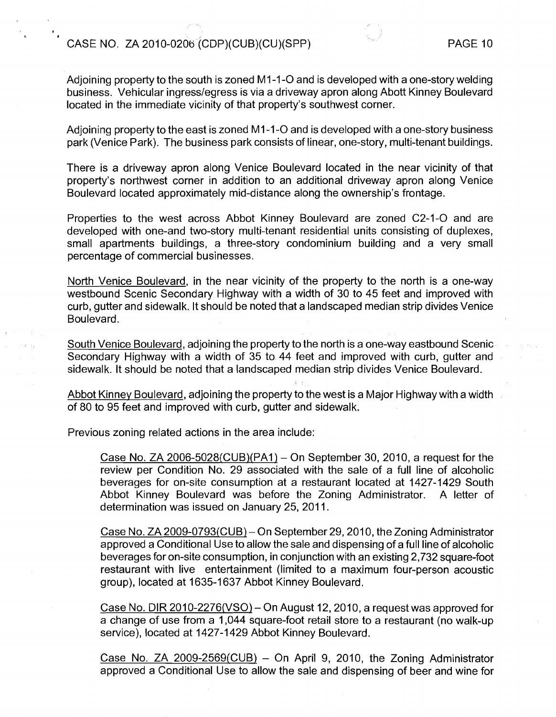, **<sup>I</sup>**

Adioining property to the south is zoned M1-1-O and is developed with a one-story welding business. Vehicular ingresslegress is via a driveway apron along Abott Kinney Boulevard located in the immediate vicinity of that property's southwest corner.

Adjoining property to the east is zoned M1-1-O and is developed with a one-story business park (Venice Park). The business park consists of linear, one-story, multi-tenant buildings.

There is a driveway apron along Venice Boulevard located in the near vicinity of that property's northwest corner in addition to an additional driveway apron along Venice Boulevard located approximately mid-distance along the ownership's frontage.

Properties to the west across Abbot Kinney Boulevard are zoned C2-1-0 and are developed with one-and two-story multi-tenant residential units consisting of duplexes, small apartments buildings, a three-story condominium building and a very small percentage of commercial businesses.

North Venice Boulevard, in the near vicinity of the property to the north is a one-way westbound Scenic Secondary Highway with a width of 30 to 45 feet and improved with curb, gutter and sidewalk. It should be noted that a landscaped median strip divides Venice Boulevard.

South Venice Boulevard, adjoining the property to the north is a one-way eastbound Scenic Secondary Highway with a width of 35 to 44 feet and improved with curb, gutter and sidewalk. It should be noted that a landscaped median strip divides Venice Boulevard.

Abbot Kinnev Boulevard, adjoining the property to the west is a Major Highway with a width of 80 to 95 feet and improved with curb, gutter and sidewalk.

Previous zoning related actions in the area include:

Case No. ZA 2006-5028(CUB)(PA1)  $-$  On September 30, 2010, a request for the review per Condition No. 29 associated with the sale of a full line of alcoholic beverages for on-site consumption at a restaurant located at 1427-1429 South Abbot Kinney Boulevard was before the Zoning Administrator. A letter of determination was issued on January 25, 2011.

Case No. ZA 2009-0793(CUB)- On September 29,201 0, the Zoning Administrator approved a Conditional Use to allow the sale and dispensing of a full line of alcoholic beverages for on-site consumption, in conjunction with an existing 2,732 square-foot restaurant with live entertainment (limited to a maximum four-person acoustic group), located at 1635-1637 Abbot Kinney Boulevard.

Case No. DIR  $2010-2276(VSO)$  – On August 12, 2010, a request was approved for a change of use from a 1,044 square-foot retail store to a restaurant (no walk-up service), located at 1427-1429 Abbot Kinney Boulevard.

Case No. ZA 2009-2569(CUB)  $-$  On April 9, 2010, the Zoning Administrator approved a Conditional Use to allow the sale and dispensing of beer and wine for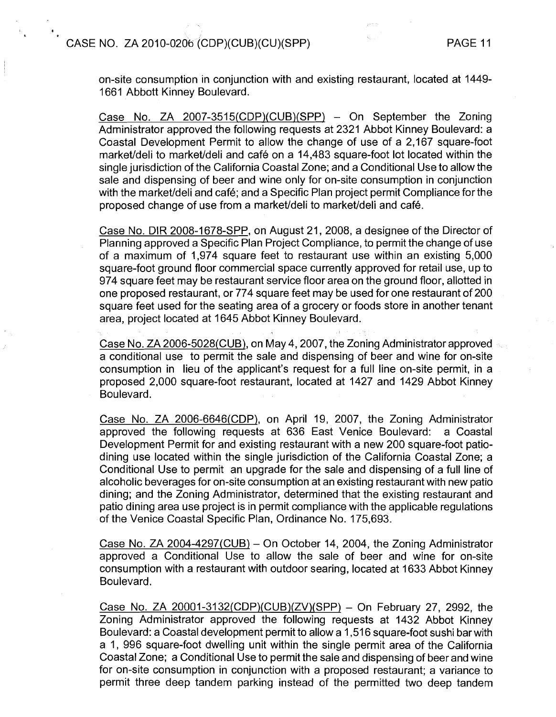**I** 

on-site consumption in conjunction with and existing restaurant, located at 1449- 1661 Abbott Kinney Boulevard.

Case No. ZA 2007-3515(CDP)(CUB)(SPP) - On September the Zoring Administrator approved the following requests at 2321 Abbot Kinney Boulevard: a Coastal Development Permit to allow the change of use of a 2,167 square-foot market/deli to market/deli and café on a 14,483 square-foot lot located within the single jurisdiction of the California Coastal Zone; and a Conditional Use to allow the sale and dispensing of beer and wine only for on-site consumption in conjunction with the market/deli and café; and a Specific Plan project permit Compliance for the proposed change of use from a market/deli to market/deli and café.

Case No. DIR 2008-1678-SPP, on August 21, 2008, a designee of the Director of Plarining approved a Specific Plan Project Compliance, to permit the change of use of a maximum of 1,974 square feet to restaurant use within an existing 5,000 square-foot ground floor commercial space currently approved for retail use, up to 974 square feet may be restaurant service floor area on the ground floor, allotted in one proposed restaurant, or 774 square feet may be used for one restaurant of 200 square feet used for the seating area of a grocery or foods store in another tenant area, project located at 1645 Abbot Kinney Boulevard.

Case No. ZA 2006-5028(CUB), on May 4,2007, the Zoning Administrator approved a conditional use to permit the sale and dispensing of beer and wine for on-site consumption in lieu of the applicant's request for a full line on-site permit, in a proposed 2,000 square-foot restaurant, located at 1427 and 1429 Abbot Kinney Boulevard.

Case No. ZA 2006-6646(CDP), on April 19, 2007, the Zoning Administrator approved the following requests at 636 East Venice Boulevard: a Coastal Development Permit for and existing restaurant with a new 200 square-foot patiodining use located within the single jurisdiction of the California Coastal Zone; a Conditional Use to permit an upgrade for the sale and dispensing of a full line of alcoholic beverages for on-site consumption at an existing restaurant with new patio dining; and the Zoning Administrator, determined that the existing restaurant and patio dining area use project is in permit compliance with the applicable regulations of the Venice Coastal Specific Plan, Ordinance No. 175,693.

Case No. ZA 2004-4297(CUB) – On October 14, 2004, the Zoning Administrator approved a Conditional Use to allow the sale of beer and wine for on-site consumption with a restaurant with outdoor searing, located at 1633 Abbot Kinney Boulevard.

Case No. ZA 20001-3132(CDP)(CUB)(ZV)(SPP) - On February 27, 2992, the Zoning Administrator approved the following requests at 1432 Abbot Kinney Boulevard: a Coastal development permit to allow a I ,516 square-foot sushi bar with a 1, 996 square-foot dwelling unit within the single permit area of the California Coastal Zone; a Conditional Use to permit the sale and dispensing of beer and wine for on-site consumption in conjunction with a proposed restaurant; a variance to permit three deep tandem parking instead of the permitted two deep tandem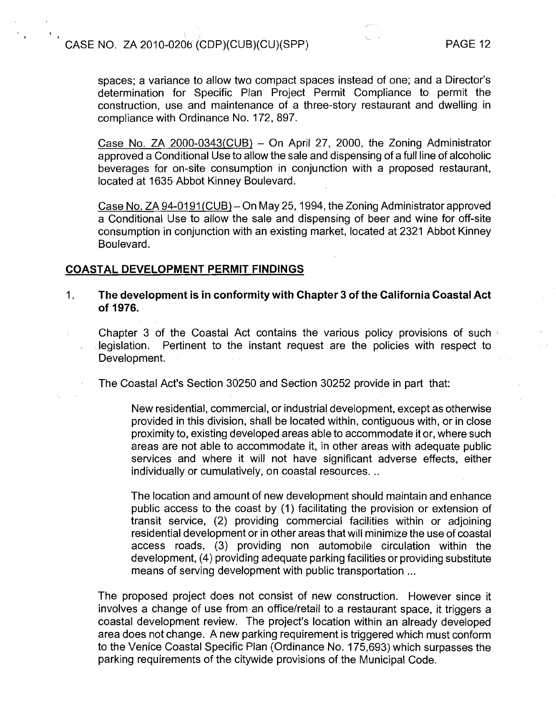**4 I** 

spaces; a variance to allow two compact spaces instead of one; and a Director's determination for Specific Plan Project Permit Compliance to permit the construction, use and maintenance of a three-story restaurant and dwelling in compliance with Ordinance No. 172, 897.

Case No. ZA 2000-0343(CUB)  $-$  On April 27, 2000, the Zoning Administrator approved a Conditional Use to allow the sale and dispensing of a full line of alcoholic beverages for on-site consumption in conjunction with a proposed restaurant, located at 1635 Abbot Kinney Boulevard.

Case No. ZA 94-0191(CUB) – On May 25, 1994, the Zoning Administrator approved a Conditional Use to allow the sale and dispensing of beer and wine for off-site consumption in conjunction with an existing market, located at 2321 Abbot Kinney Boulevard.

# **COASTAL DEVELOPMENT PERMIT FINDINGS**

1. **The development is in conformity with Chapter 3 of the California Coastal Act of 1976.** 

Chapter 3 of the Coastal Act contains the various policy provisions of such legislation. Pertinent to the instant request are the policies with respect to Development.

The Coastal Act's Section 30250 and Section 30252 provide in part that:

New residential, commercial, or industrial development, except as otherwise provided in this division, shall be located within, contiguous with, or in close proximity to, existing developed areas able to accommodate it or, where such areas are not able to accommodate it, in other areas with adequate public services and where it will not have significant adverse effects, either individually or cumulatively, on coastal resources. ..

The location and amount of new development should maintain and enhance public access to the coast by (1) facilitating the provision or extension of transit service, (2) providing commercial facilities within or adjoining residential development or in other areas that will minimize the use of coastal access roads, (3) providing non automobile circulation within the development, (4) providing adequate parking facilities or providing substitute means of serving development with public transportation ...

The proposed project does not consist of new construction. However since it involves a change of use from an office/retail to a restaurant space, it triggers a coastal development review. The project's location within an already developed area does not change. A new parking requirement is triggered which must conform to the Venice Coastal Specific Plan (Ordinance No. 175,693) which surpasses the parking requirements of the citywide provisions of the Municipal Code.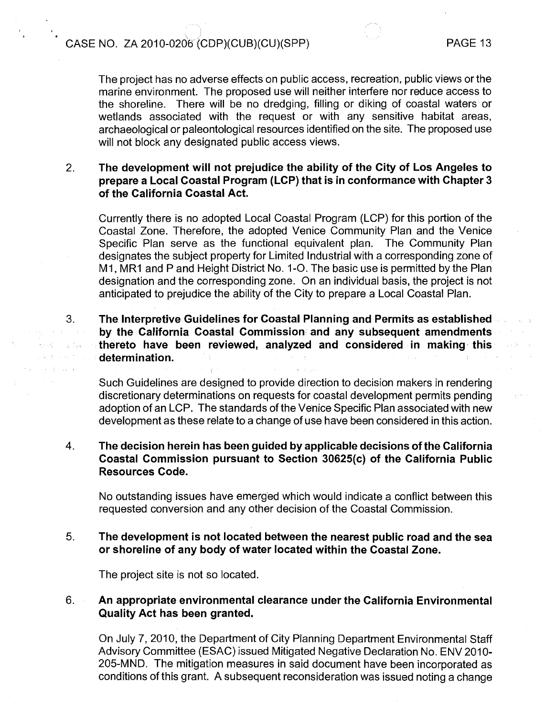The project has no adverse effects on public access, recreation, public views or the marine environment. The proposed use will neither interfere nor reduce access to the shoreline. There will be no dredging, filling or diking of coastal waters or wetlands associated with the request or with any sensitive habitat areas, archaeological or paleontological resources identified on the site. The proposed use will not block any designated public access views.

### The development will not prejudice the ability of the City of Los Angeles to  $2.$ prepare a Local Coastal Program (LCP) that is in conformance with Chapter 3 of the California Coastal Act.

Currently there is no adopted Local Coastal Program (LCP) for this portion of the Coastal Zone. Therefore, the adopted Venice Community Plan and the Venice Specific Plan serve as the functional equivalent plan. The Community Plan designates the subject property for Limited Industrial with a corresponding zone of M1, MR1 and P and Height District No. 1-O. The basic use is permitted by the Plan designation and the corresponding zone. On an individual basis, the project is not anticipated to prejudice the ability of the City to prepare a Local Coastal Plan.

The Interpretive Guidelines for Coastal Planning and Permits as established  $\label{eq:2.1} \varphi_{\alpha\beta}(\varphi_{\alpha\beta}) = \varphi_{\alpha\beta}(\varphi_{\alpha\beta}) = \varphi_{\alpha\beta}(\varphi_{\alpha\beta})$ by the California Coastal Commission and any subsequent amendments thereto have been reviewed, analyzed and considered in making this  $\sim$  120 determination.

> Such Guidelines are designed to provide direction to decision makers in rendering discretionary determinations on requests for coastal development permits pending adoption of an LCP. The standards of the Venice Specific Plan associated with new development as these relate to a change of use have been considered in this action.

#### $\overline{4}$ . The decision herein has been guided by applicable decisions of the California Coastal Commission pursuant to Section 30625(c) of the California Public Resources Code.

No outstanding issues have emerged which would indicate a conflict between this requested conversion and any other decision of the Coastal Commission.

#### $5<sub>1</sub>$ The development is not located between the nearest public road and the sea or shoreline of any body of water located within the Coastal Zone.

The project site is not so located.

3.

 $\mathcal{L} \propto \mathcal{L} \propto \mathcal{L}^{-1}$  $\mathcal{A}=\mathcal{L}^{\mathcal{A}}$  , where  $\mathcal{A}$ 

#### $6<sup>1</sup>$ An appropriate environmental clearance under the California Environmental Quality Act has been granted.

On July 7, 2010, the Department of City Planning Department Environmental Staff Advisory Committee (ESAC) issued Mitigated Negative Declaration No. ENV 2010- 205-MND. The mitigation measures in said document have been incorporated as conditions of this grant. A subsequent reconsideration was issued noting a change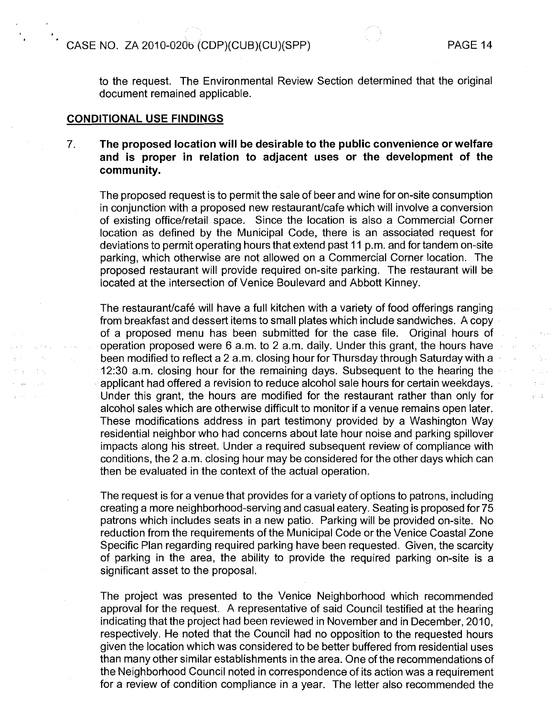b st  $\sqrt{1 + \frac{1}{2}}$ 

to the request. The Environmental Review Section determined that the original document remained applicable.

# **CONDITIONAL USE FINDINGS**

**<sup>1</sup>**'

 $\Delta \sim$ 

# 7. **The proposed location will be desirable to the public convenience or welfare and is proper in relation to adjacent uses or the development of the community.**

The proposed request is to permit the sale of beer and wine for on-site consumption in conjunction with a proposed new restaurant/cafe which will involve a conversion of existing office/retail space. Since the location is also a Commercial Corner location as defined by the Municipal Code, there is an associated request for deviations to permit operating hours that extend past 11 p.m. and for tandem on-site parking, which otherwise are not allowed on a Commercial Corner location. The proposed restaurant will provide required on-site parking. The restaurant will be located at the intersection of Venice Boulevard and Abbott Kinney.

The restaurant/café will have a full kitchen with a variety of food offerings ranging from breakfast and dessert items to small plates which include sandwiches. A copy of a proposed menu has been submitted for the case file. Original hours of operation proposed were 6 a.m. to 2 a.m. daily. Under this grant, the hours have been modified to reflect a 2 a.m. closing hour for Thursday through Saturday with a 12:30 a.m. closing hour for the remaining days. Subsequent to the hearing the applicant had offered a revision to reduce alcohol sale hours for certain weekdays. Under this grant, the hours are modified for the restaurant rather than only for alcohol sales which are otherwise difficult to monitor if a venue remains open later. These modifications address in part testimony provided by a Washington Way residential neighbor who had concerns about late hour noise and parking spillover impacts along his street. Under a required subsequent review of compliance with conditions, the 2 a.m. closing hour may be considered for the other days which can then be evaluated in the context of the actual operation.

The request is for a venue that provides for a variety of options to patrons, including creating a more neighborhood-serving and casual eatery. Seating is proposed for 75 patrons which includes seats in a new patio. Parking will be provided on-site. No reduction from the requirements of the Municipal Code or the Venice Coastal Zone Specific Plan regarding required parking have been requested. Given, the scarcity of parking in the area, the ability to provide the required parking on-site is a significant asset to the proposal.

The project was presented to the Venice Neighborhood which recommended approval for the request. A representative of said Council testified at the hearing indicating that the project had been reviewed in November and in December, 2010, respectively. He noted that the Council had no opposition to the requested hours given the location which was considered to be better buffered from residential uses than many other similar establishments in the area. One of the recommendations of the Neighborhood Council noted in correspondence of its action was a requirement for a review of condition compliance in a year. The letter also recommended the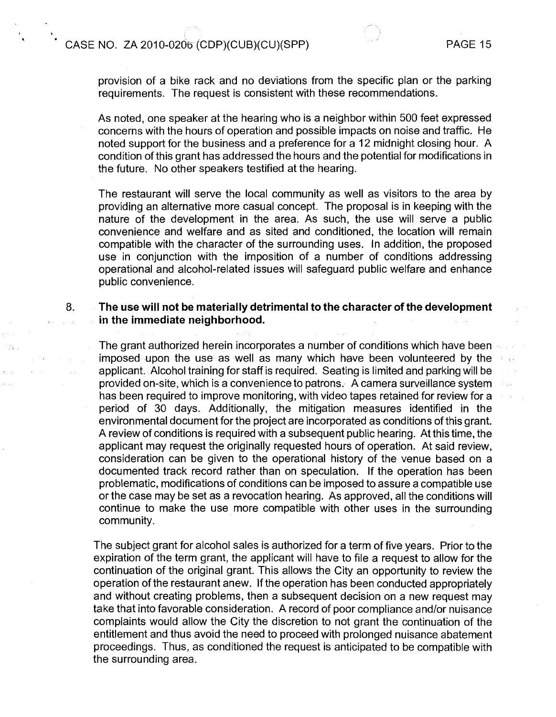**s** 

-19



provision of a bike rack and no deviations from the specific plan or the parking requirements. The request is consistent with these recommendations.

As noted, one speaker at the hearing who is a neighbor within 500 feet expressed concerns with the hours of operation and possible impacts on noise and traffic. He noted support for the business and a preference for a 12 midnight closing hour. A condition of this grant has addressed the hours and the potential for modifications in the future. No other speakers testified at the hearing.

The restaurant will serve the local community as well as visitors to the area by providing an alternative more casual concept. The proposal is in keeping with the nature of the development in the area. As such, the use will serve a public convenience and welfare and as sited and conditioned, the location will remain compatible with the character of the surrounding uses. In addition, the proposed use in conjunction with the irnposition of a number of conditions addressing operational and alcohol-related issues will safeguard public welfare and enhance public convenience.

# 8. **The use will not be materially detrimental to the character of the development in the immediate neighborhood.**

The grant authorized herein incorporates a number of conditions which have been imposed upon the use as well as many which have been volunteered by the applicant. Alcohol training for staff is required. Seating is limited and parking will be provided on-site, which is a convenience to patrons. A camera surveillance system has been required to improve monitoring, with video tapes retained for review for a period of 30 days. Additionally, the mitigation measures identified in the environmental document for the project are incorporated as conditions of this grant. A review of conditions is required with a subsequent public hearing. At this time, the applicant may request the originally requested hours of operation. At said review, consideration can be given to the operational history of the venue based on a documented track record rather than on speculation. If the operation has been problematic, modifications of conditions can be imposed to assure a compatible use or the case may be set as a revocation hearing. As approved, all the conditions will continue to make the use more compatible with other uses in the surrounding community.

The subject grant for alcohol sales is authorized for a term of five years. Prior to the expiration of the term grant, the applicant will have to file a request to allow for the continuation of the original grant. This allows the City an opportunity to review the operation of the restaurant anew. If the operation has been conducted appropriately and without creating problems, then a subsequent decision on a new request may take that into favorable consideration. A record of poor compliance and/or nuisance complaints would allow the City the discretion to not grant the continuation of the entitlement and thus avoid the need to proceed with prolonged nuisance abatement proceedings. Thus, as conditioned the request is anticipated to be compatible with the surrounding area.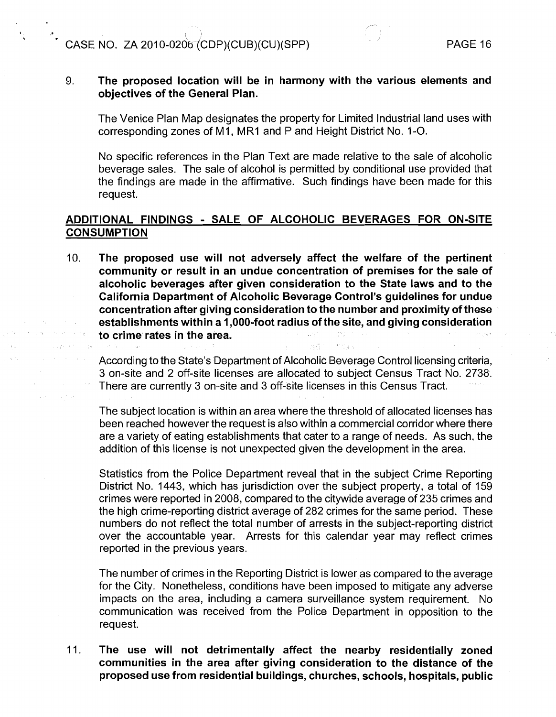**1** 

# 9. The proposed location will be in harmony with the various elements and objectives of the General Plan.

The Venice Plan Map designates the property for Limited Industrial land uses with corresponding zones of M1, MR1 and P and Height District No. 1-O.

No specific references in the Plan Text are made relative to the sale of alcoholic beverage sales. The sale of alcohol is permitted by conditional use provided that the findings are made in the affirmative. Such findings have been made for this request.

# ADDITIONAL FINDINGS - SALE OF ALCOHOLIC BEVERAGES FOR ON-SITE **CONSUMPTION**

10. The proposed use will not adversely affect the welfare of the pertinent community or result in an undue concentration of premises for the sale of alcoholic beverages after given consideration to the State laws and to the California Department of Alcoholic Beverage Control's guidelines for undue concentration after giving consideration to the number and proximity of these establishments within a I ,000-foot radius of the site, and giving consideration to crime rates in the area.

According to the State's Department of Alcoholic Beverage Control licensing criteria, 3 on-site and 2 off-site licenses are allocated to subject Census Tract No. 2738. There are currently 3 on-site and 3 off-site licenses in this Census Tract.

The subject location is within an area where the threshold of allocated licenses has been reached however the request is also within a commercial corridor where there are a variety of eating establishments that cater to a range of needs. As such, the addition of this license is not unexpected given the development in the area.

Statistics from the Police Department reveal that in the subject Crime Reporting District No. 1443, which has jurisdiction over the subject property, a total of 159 crimes were reported in 2008, compared to the citywide average of 235 crimes and the high crime-reporting district average of 282 crimes for the same period. These numbers do not reflect the total number of arrests in the subject-reporting district over the accountable year. Arrests for this calendar year may reflect crimes reported in the previous years.

The number of crimes in the Reporting District is lower as compared to the average for the City. Nonetheless, conditions have been imposed to mitigate any adverse impacts on the area, including a camera surveillance system requirement. No communication was received from the Police Department in opposition to the request.

11. The use will not detrimentally affect the nearby residentially zoned communities in the area after giving consideration to the distance of the proposed use from residential buildings, churches, schools, hospitals, public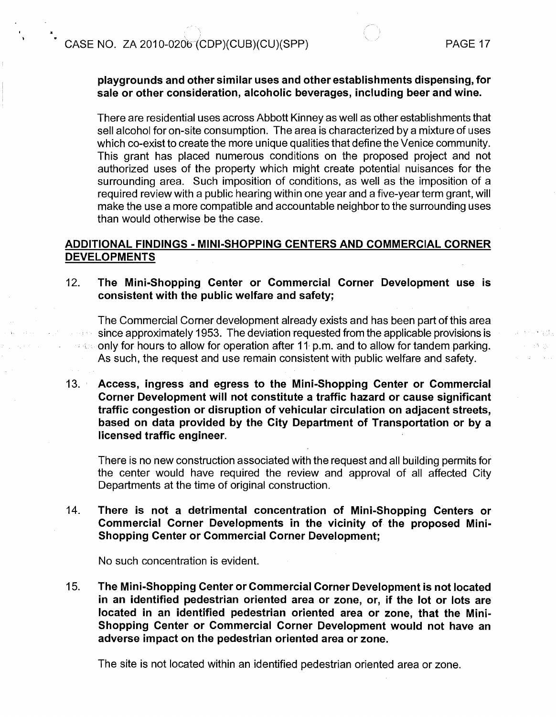**b** 

, **I 1** 

# playgrounds and other similar uses and other establishments dispensing, for sale or other consideration, alcoholic beverages, including beer and wine.

There are residential uses across Abbott Kinney as well as other establishments that sell alcohol for on-site consumption. The area is characterized by a mixture of uses which co-exist to create the more unique qualities that define the Venice community. This grant has placed numerous conditions on the proposed project and not authorized uses of the property which might create potential nuisances for the surrounding area. Such imposition of conditions, as well as the imposition of a required review with a public hearing within one year and a five-year term grant, will make the use a more compatible and accountable neighbor to the surrounding uses than would otherwise be the case.

# ADDITIONAL FINDINGS - MINI-SHOPPING CENTERS AND COMMERCIAL CORNER DEVELOPMENTS

12. The Mini-Shopping Center or Commercial Corner Development use is consistent with the public welfare and safety;

The Commercial Corner development already exists and has been part of this area since approximately 1953. The deviation requested from the applicable provisions is see only for hours to allow for operation after 11 p.m. and to allow for tandem parking. As such, the request and use remain consistent with public welfare and safety.

13. Access, ingress and egress to the Mini-Shopping Center or Commercial Corner Development will not constitute a traffic hazard or cause significant traffic congestion or disruption of vehicular circulation on adjacent streets, based on data provided by the City Department of Transportation or by a licensed traffic engineer.

There is no new construction associated with the request and all building permits for the center would have required the review and approval of all affected City Departments at the time of original construction.

14. There is not a detrimental concentration of Mini-Shopping Centers or Commercial Corner Developments in the vicinity of the proposed Mini-Shopping Center or Commercial Corner Development;

No such concentration is evident.

15. The Mini-Shopping Center or Commercial Corner Developnient is not located in an identified pedestrian oriented area or zone, or, if the lot or lots are located in an identified pedestrian oriented area or zone, that the Mini-Shopping Center or Commercial Corner Development would not have an adverse impact on the pedestrian oriented area or zone.

The site is not located within an identified pedestrian oriented area or zone.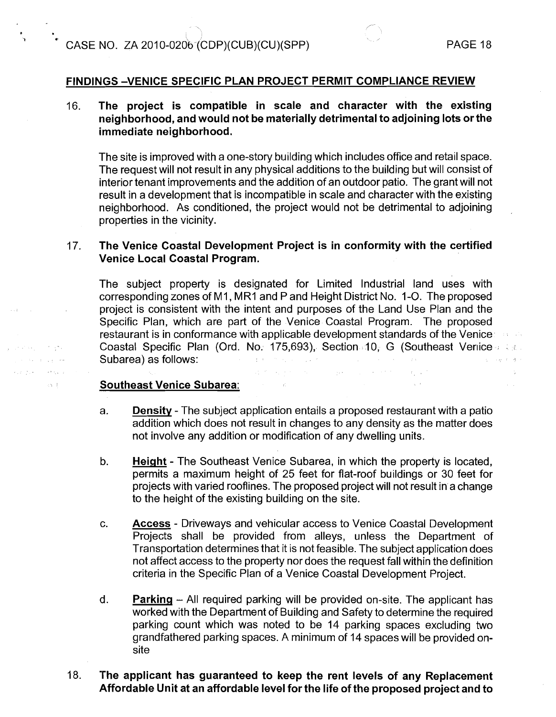(I **I** 

الأفوار فالمتعارض والمحافرات سياري والمراجع والمحارب

Report Follows

 $\langle \cdot, \cdot \rangle$  .

 $\overline{\phantom{a}}$ 

# **FINDINGS -VENICE SPECIFIC PLAN PROJECT PERMIT COMPLIANCE REVIEW**

# 16. **The project is compatible in scale and character with the existing neighborhood, and would not be materially detrimental to adjoining lots or the immediate neighborhood.**

The site is improved with a one-story building which includes office and retail space. The request will not result in any physical additions to the building but will consist of  $\overline{a}$  interior tenant improvements and the addition of an outdoor patio. The grant will not result in a development that is incompatible in scale and character with the existing neighborhood. As conditioned, the project would not be detrimental to adjoining properties in the vicinity.

# 17. **The Venice Coastal Development Project is in conformity with the certified Venice Local Coastal Program.**

The subject property is designated for Limited Industrial land uses with corresponding zones of MI, MRI and P and Height District No. 1-0. The proposed project is consistent with the intent and purposes of the Land Use Plan and the Specific Plan, which are part of the Venice Coastal Program. The proposed restaurant is in conformance with applicable development standards of the Venice Coastal Specific Plan (Ord. No. 175,693), Section 10, G (Southeast Vertice and a Subarea) as follows: الهابة الأستاني  $\sim 10^{11}$ 

and the control will be performed to the compact

# **Southeast Venice Subarea:**

- a. **Density**  The subject application entails a proposed restaurant with a patio addition which does not result in changes to any density as the matter does not involve any addition or modification of any dwelling units.
- b. **Height** The Southeast Venice Subarea, in which the property is located, permits a maximum height of 25 feet for flat-roof buildings or 30 feet for projects with varied rooflines. The proposed project will not result in a change to the height of the existing building on the site.
- c. **Access**  Driveways and vehicular access to Venice Coastal Development Projects shall be provided from alleys, unless the Department of Transportation determines that it is not feasible. The subject application does not affect access to the property nor does the request fall within the definition criteria in the Specific Plan of a Venice Coastal Development Project.
- d. **Parking** All required parking will be provided on-site. The applicant has worked with the Department of Building and Safety to determine the required parking count which was noted to be 14 parking spaces excluding two grandfathered parking spaces. A minimum of 14 spaces will be provided onsite

# 18. **'The applicant has guaranteed to keep the rent levels of any Replacement Affordable Unit at an affordable level for the life of the proposed project and to**